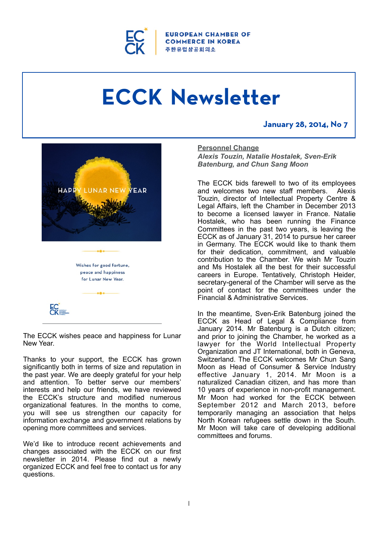

ROPEAN CHAMBER OF **COMMERCE IN KOREA** 주한유럽상공회의소

# **ECCK Newsletter**

# **January 28, 2014, No 7**



The ECCK wishes peace and happiness for Lunar New Year.

 $\mathsf{EC}^{\mathsf{r}}_{\mathsf{C}}$ 

Thanks to your support, the ECCK has grown significantly both in terms of size and reputation in the past year. We are deeply grateful for your help and attention. To better serve our members' interests and help our friends, we have reviewed the ECCK's structure and modified numerous organizational features. In the months to come, you will see us strengthen our capacity for information exchange and government relations by opening more committees and services.

We'd like to introduce recent achievements and changes associated with the ECCK on our first newsletter in 2014. Please find out a newly organized ECCK and feel free to contact us for any questions.

#### **Personnel Change**

*Alexis Touzin, Natalie Hostalek, Sven-Erik Batenburg, and Chun Sang Moon* 

The ECCK bids farewell to two of its employees and welcomes two new staff members. Alexis Touzin, director of Intellectual Property Centre & Legal Affairs, left the Chamber in December 2013 to become a licensed lawyer in France. Natalie Hostalek, who has been running the Finance Committees in the past two years, is leaving the ECCK as of January 31, 2014 to pursue her career in Germany. The ECCK would like to thank them for their dedication, commitment, and valuable contribution to the Chamber. We wish Mr Touzin and Ms Hostalek all the best for their successful careers in Europe. Tentatively, Christoph Heider, secretary-general of the Chamber will serve as the point of contact for the committees under the Financial & Administrative Services.

In the meantime, Sven-Erik Batenburg joined the ECCK as Head of Legal & Compliance from January 2014. Mr Batenburg is a Dutch citizen; and prior to joining the Chamber, he worked as a lawyer for the World Intellectual Property Organization and JT International, both in Geneva, Switzerland. The ECCK welcomes Mr Chun Sang Moon as Head of Consumer & Service Industry effective January 1, 2014. Mr Moon is a naturalized Canadian citizen, and has more than 10 years of experience in non-profit management. Mr Moon had worked for the ECCK between September 2012 and March 2013, before temporarily managing an association that helps North Korean refugees settle down in the South. Mr Moon will take care of developing additional committees and forums.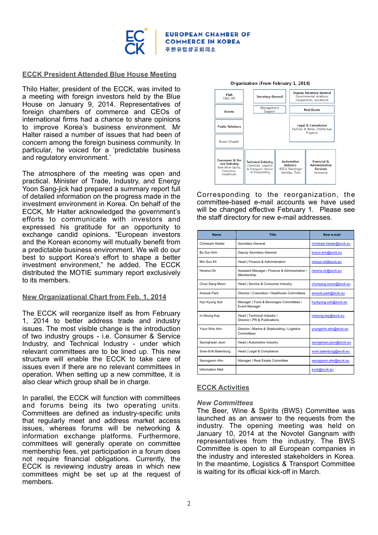

#### **ECCK President Attended Blue House Meeting**

Thilo Halter, president of the ECCK, was invited to a meeting with foreign investors held by the Blue House on January 9, 2014. Representatives of foreign chambers of commerce and CEOs of international firms had a chance to share opinions to improve Korea's business environment. Mr Halter raised a number of issues that had been of concern among the foreign business community. In particular, he voiced for a 'predictable business and regulatory environment.'

The atmosphere of the meeting was open and practical. Minister of Trade, Industry, and Energy Yoon Sang-jick had prepared a summary report full of detailed information on the progress made in the investment environment in Korea. On behalf of the ECCK, Mr Halter acknowledged the government's efforts to communicate with investors and expressed his gratitude for an opportunity to exchange candid opinions. "European investors and the Korean economy will mutually benefit from a predictable business environment. We will do our best to support Korea's effort to shape a better investment environment," he added. The ECCK distributed the MOTIE summary report exclusively to its members.

#### **New Organizational Chart from Feb. 1, 2014**

The ECCK will reorganize itself as from February 1, 2014 to better address trade and industry issues. The most visible change is the introduction of two industry groups - i.e. Consumer & Service Industry, and Technical Industry - under which relevant committees are to be lined up. This new structure will enable the ECCK to take care of issues even if there are no relevant committees in operation. When setting up a new committee, it is also clear which group shall be in charge.

In parallel, the ECCK will function with committees and forums being its two operating units. Committees are defined as industry-specific units that regularly meet and address market access issues, whereas forums will be networking & information exchange platforms. Furthermore, committees will generally operate on committee membership fees, yet participation in a forum does not require financial obligations. Currently, the ECCK is reviewing industry areas in which new committees might be set up at the request of members.



Corresponding to the reorganization, the committee-based e-mail accounts we have used will be changed effective February 1. Please see the staff directory for new e-mail addresses.

| <b>Name</b>             | <b>Title</b>                                                 | New e-mail               |
|-------------------------|--------------------------------------------------------------|--------------------------|
| Christoph Heider        | Secretary-General                                            | christoph.heider@ecck.eu |
| Bo Sun Kim              | Deputy Secretary-General                                     | bosun.kim@ecck.eu        |
| Min Sun Kil             | Head   Finance & Administration                              | minsun.kil@ecck.eu       |
| Herena Oh               | Assistant Manager   Finance & Administration /<br>Membership | herena.oh@ecck.eu        |
| Chun Sang Moon          | Head   Service & Consumer Industry                           | chunsang.moon@ecck.eu    |
| Ansook Park             | Director   Cosmetics / Healthcare Committees                 | ansook.park@ecck.eu      |
| Hyo Kyung Suh           | Manager   Food & Beverages Committees /<br>Event Manager     | hyokyung.suh@ecck.eu     |
| In-Seung Kay            | Head   Technical Industry /<br>Director   PR & Publications  | inseung.kay@ecck.eu      |
| Youn Shin Ahn           | Director   Marine & Shipbuilding / Logistics<br>Committees   | youngshin.ahn@ecck.eu    |
| Seonghwan Jeon          | Head   Automotive Industry                                   | seonghwan.jeon@ecck.eu   |
| Sven-Erik Batenburg     | Head   Legal & Compliance                                    | sven.batenburg@ecck.eu   |
| Seungyeon Ahn           | Manager   Real Estate Committee                              | seungyeon.ahn@ecck.eu    |
| <b>Information Mail</b> |                                                              | ecck@ecck.eu             |

## **ECCK Activities**

#### *New Committees*

The Beer, Wine & Spirits (BWS) Committee was launched as an answer to the requests from the industry. The opening meeting was held on January 10, 2014 at the Novotel Gangnam with representatives from the industry. The BWS Committee is open to all European companies in the industry and interested stakeholders in Korea. In the meantime, Logistics & Transport Committee is waiting for its official kick-off in March.